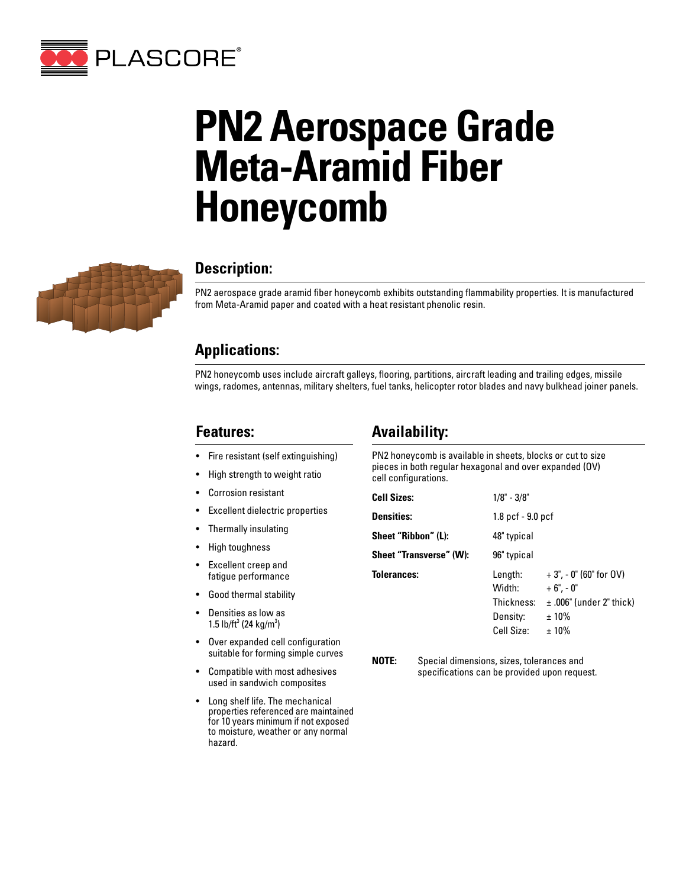

# **PN2 Aerospace Grade Meta-Aramid Fiber Honeycomb**



## **Description:**

PN2 aerospace grade aramid fiber honeycomb exhibits outstanding flammability properties. It is manufactured from Meta-Aramid paper and coated with a heat resistant phenolic resin.

## **Applications:**

PN2 honeycomb uses include aircraft galleys, flooring, partitions, aircraft leading and trailing edges, missile wings, radomes, antennas, military shelters, fuel tanks, helicopter rotor blades and navy bulkhead joiner panels.

### **Features:**

- Fire resistant (self extinguishing)
- High strength to weight ratio
- Corrosion resistant
- Excellent dielectric properties
- Thermally insulating
- High toughness
- Excellent creep and fatigue performance
- Good thermal stability
- Densities as low as 1.5 lb/ft<sup>3</sup> (24 kg/m<sup>3</sup>)
- Over expanded cell configuration suitable for forming simple curves
- Compatible with most adhesives used in sandwich composites
- Long shelf life. The mechanical properties referenced are maintained for 10 years minimum if not exposed to moisture, weather or any normal hazard.

## **Availability:**

PN2 honeycomb is available in sheets, blocks or cut to size pieces in both regular hexagonal and over expanded (OV) cell configurations.

| <b>Cell Sizes:</b>      | $1/8" - 3/8"$                                             |                                                                                              |  |
|-------------------------|-----------------------------------------------------------|----------------------------------------------------------------------------------------------|--|
| <b>Densities:</b>       | 1.8 pcf - 9.0 pcf                                         |                                                                                              |  |
| Sheet "Ribbon" (L):     | 48" typical                                               |                                                                                              |  |
| Sheet "Transverse" (W): | 96" typical                                               |                                                                                              |  |
| <b>Tolerances:</b>      | Length:<br>Width:<br>Thickness:<br>Density:<br>Cell Size: | $+3$ ", - 0" (60" for OV)<br>$+6" -0"$<br>$\pm$ .006" (under 2" thick)<br>$±10\%$<br>$±10\%$ |  |

**NOTE:** Special dimensions, sizes, tolerances and specifications can be provided upon request.